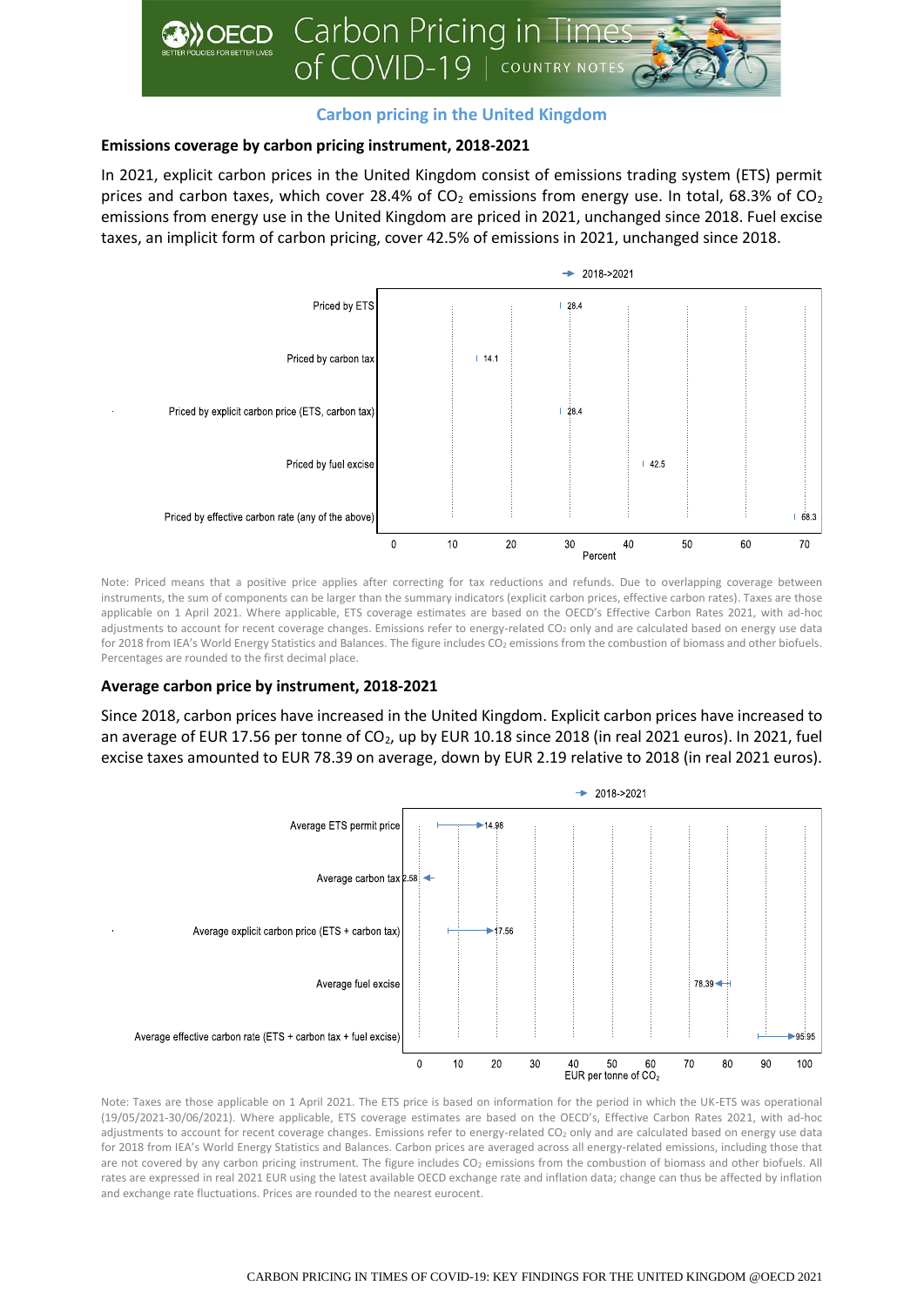

## **Carbon pricing in the United Kingdom**

## **Emissions coverage by carbon pricing instrument, 2018-2021**

In 2021, explicit carbon prices in the United Kingdom consist of emissions trading system (ETS) permit prices and carbon taxes, which cover 28.4% of  $CO<sub>2</sub>$  emissions from energy use. In total, 68.3% of  $CO<sub>2</sub>$ emissions from energy use in the United Kingdom are priced in 2021, unchanged since 2018. Fuel excise taxes, an implicit form of carbon pricing, cover 42.5% of emissions in 2021, unchanged since 2018.



Note: Priced means that a positive price applies after correcting for tax reductions and refunds. Due to overlapping coverage between instruments, the sum of components can be larger than the summary indicators (explicit carbon prices, effective carbon rates). Taxes are those applicable on 1 April 2021. Where applicable, ETS coverage estimates are based on the OECD's Effective Carbon Rates 2021, with ad-hoc adjustments to account for recent coverage changes. Emissions refer to energy-related CO<sub>2</sub> only and are calculated based on energy use data for 2018 from IEA's World Energy Statistics and Balances. The figure includes CO<sub>2</sub> emissions from the combustion of biomass and other biofuels. Percentages are rounded to the first decimal place.

## **Average carbon price by instrument, 2018-2021**

Since 2018, carbon prices have increased in the United Kingdom. Explicit carbon prices have increased to an average of EUR 17.56 per tonne of CO<sub>2</sub>, up by EUR 10.18 since 2018 (in real 2021 euros). In 2021, fuel excise taxes amounted to EUR 78.39 on average, down by EUR 2.19 relative to 2018 (in real 2021 euros).



Note: Taxes are those applicable on 1 April 2021. The ETS price is based on information for the period in which the UK-ETS was operational (19/05/2021-30/06/2021). Where applicable, ETS coverage estimates are based on the OECD's, Effective Carbon Rates 2021, with ad-hoc adjustments to account for recent coverage changes. Emissions refer to energy-related CO<sub>2</sub> only and are calculated based on energy use data for 2018 from IEA's World Energy Statistics and Balances. Carbon prices are averaged across all energy-related emissions, including those that are not covered by any carbon pricing instrument. The figure includes CO<sub>2</sub> emissions from the combustion of biomass and other biofuels. All rates are expressed in real 2021 EUR using the latest available OECD exchange rate and inflation data; change can thus be affected by inflation and exchange rate fluctuations. Prices are rounded to the nearest eurocent.